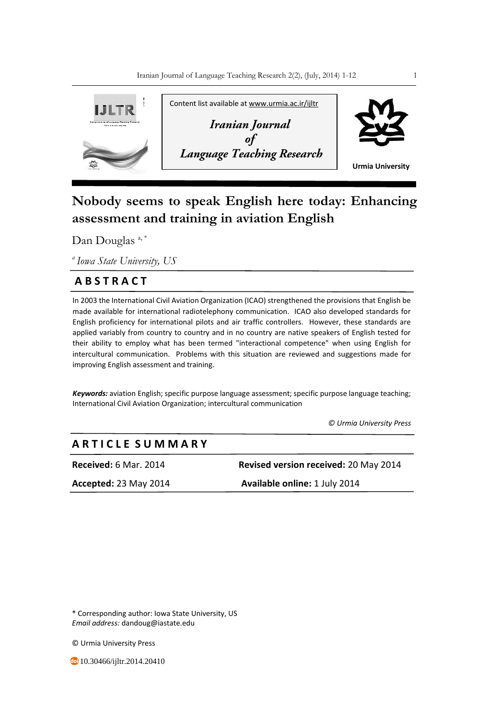

# **Nobody seems to speak English here today: Enhancing assessment and training in aviation English**

Dan Douglas  $a, a^*$ 

*<sup>a</sup>Iowa State University, US*

### **A B S T R A C T**

In 2003 the International Civil Aviation Organization (ICAO) strengthened the provisions that English be made available for international radiotelephony communication. ICAO also developed standards for English proficiency for international pilots and air traffic controllers. However, these standards are applied variably from country to country and in no country are native speakers of English tested for their ability to employ what has been termed "interactional competence" when using English for intercultural communication. Problems with this situation are reviewed and suggestions made for improving English assessment and training.

*Keywords:* aviation English; specific purpose language assessment; specific purpose language teaching; International Civil Aviation Organization; intercultural communication

 *© Urmia University Press*

## **A R T I C L E S U M M A R Y**

**Received:** 6 Mar. 2014 **Revised version received:** 20 May 2014 **Accepted:** 23 May 2014 **Available online:** 1 July 2014

\* Corresponding author: Iowa State University, US *Email address:* dandoug@iastate.edu

© Urmia University Press

**40** 10.30466/ijltr.2014.20410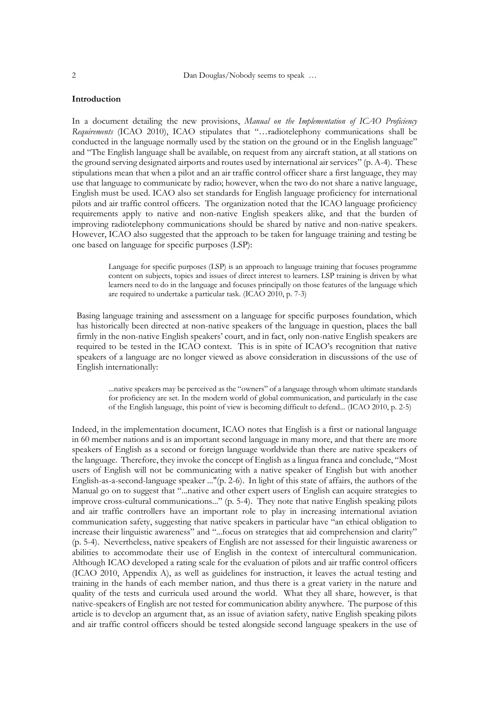#### **Introduction**

In a document detailing the new provisions, *Manual on the Implementation of ICAO Proficiency Requirements* (ICAO 2010), ICAO stipulates that "…radiotelephony communications shall be conducted in the language normally used by the station on the ground or in the English language" and "The English language shall be available, on request from any aircraft station, at all stations on the ground serving designated airports and routes used by international air services" (p. A-4). These stipulations mean that when a pilot and an air traffic control officer share a first language, they may use that language to communicate by radio; however, when the two do not share a native language, English must be used. ICAO also set standards for English language proficiency for international pilots and air traffic control officers. The organization noted that the ICAO language proficiency requirements apply to native and non-native English speakers alike, and that the burden of improving radiotelephony communications should be shared by native and non-native speakers. However, ICAO also suggested that the approach to be taken for language training and testing be one based on language for specific purposes (LSP):

> Language for specific purposes (LSP) is an approach to language training that focuses programme content on subjects, topics and issues of direct interest to learners. LSP training is driven by what learners need to do in the language and focuses principally on those features of the language which are required to undertake a particular task. (ICAO 2010, p. 7-3)

Basing language training and assessment on a language for specific purposes foundation, which has historically been directed at non-native speakers of the language in question, places the ball firmly in the non-native English speakers' court, and in fact, only non-native English speakers are required to be tested in the ICAO context. This is in spite of ICAO's recognition that native speakers of a language are no longer viewed as above consideration in discussions of the use of English internationally:

...native speakers may be perceived as the "owners" of a language through whom ultimate standards for proficiency are set. In the modern world of global communication, and particularly in the case of the English language, this point of view is becoming difficult to defend... (ICAO 2010, p. 2-5)

Indeed, in the implementation document, ICAO notes that English is a first or national language in 60 member nations and is an important second language in many more, and that there are more speakers of English as a second or foreign language worldwide than there are native speakers of the language. Therefore, they invoke the concept of English as a lingua franca and conclude, "Most users of English will not be communicating with a native speaker of English but with another English-as-a-second-language speaker ..."(p. 2-6). In light of this state of affairs, the authors of the Manual go on to suggest that "...native and other expert users of English can acquire strategies to improve cross-cultural communications..." (p. 5-4). They note that native English speaking pilots and air traffic controllers have an important role to play in increasing international aviation communication safety, suggesting that native speakers in particular have "an ethical obligation to increase their linguistic awareness" and "...focus on strategies that aid comprehension and clarity" (p. 5-4). Nevertheless, native speakers of English are not assessed for their linguistic awareness or abilities to accommodate their use of English in the context of intercultural communication. Although ICAO developed a rating scale for the evaluation of pilots and air traffic control officers (ICAO 2010, Appendix A), as well as guidelines for instruction, it leaves the actual testing and training in the hands of each member nation, and thus there is a great variety in the nature and quality of the tests and curricula used around the world. What they all share, however, is that native-speakers of English are not tested for communication ability anywhere. The purpose of this article is to develop an argument that, as an issue of aviation safety, native English speaking pilots and air traffic control officers should be tested alongside second language speakers in the use of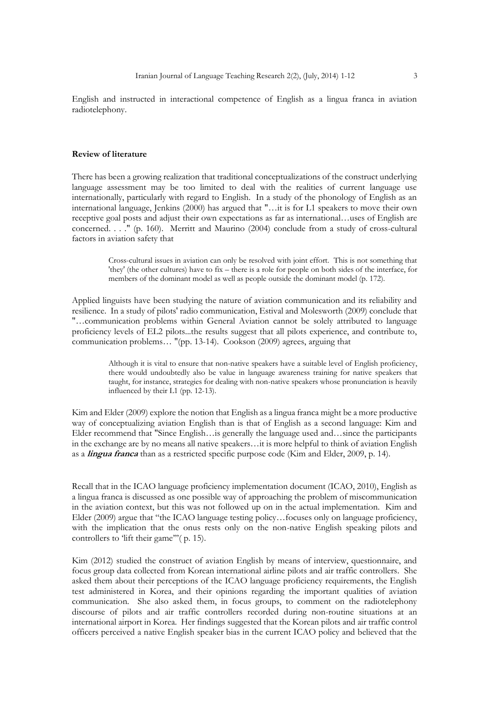English and instructed in interactional competence of English as a lingua franca in aviation radiotelephony.

#### **Review of literature**

There has been a growing realization that traditional conceptualizations of the construct underlying language assessment may be too limited to deal with the realities of current language use internationally, particularly with regard to English. In a study of the phonology of English as an international language, Jenkins (2000) has argued that "…it is for L1 speakers to move their own receptive goal posts and adjust their own expectations as far as international…uses of English are concerned. . . ." (p. 160). Merritt and Maurino (2004) conclude from a study of cross-cultural factors in aviation safety that

> Cross-cultural issues in aviation can only be resolved with joint effort. This is not something that 'they' (the other cultures) have to fix – there is a role for people on both sides of the interface, for members of the dominant model as well as people outside the dominant model (p. 172).

Applied linguists have been studying the nature of aviation communication and its reliability and resilience. In a study of pilots' radio communication, Estival and Molesworth (2009) conclude that "…communication problems within General Aviation cannot be solely attributed to language proficiency levels of EL2 pilots...the results suggest that all pilots experience, and contribute to, communication problems… "(pp. 13-14). Cookson (2009) agrees, arguing that

> Although it is vital to ensure that non-native speakers have a suitable level of English proficiency, there would undoubtedly also be value in language awareness training for native speakers that taught, for instance, strategies for dealing with non-native speakers whose pronunciation is heavily influenced by their L1 (pp. 12-13).

Kim and Elder (2009) explore the notion that English as a lingua franca might be a more productive way of conceptualizing aviation English than is that of English as a second language: Kim and Elder recommend that "Since English…is generally the language used and…since the participants in the exchange are by no means all native speakers…it is more helpful to think of aviation English as a **lingua franca** than as a restricted specific purpose code (Kim and Elder, 2009, p. 14).

Recall that in the ICAO language proficiency implementation document (ICAO, 2010), English as a lingua franca is discussed as one possible way of approaching the problem of miscommunication in the aviation context, but this was not followed up on in the actual implementation. Kim and Elder (2009) argue that "the ICAO language testing policy…focuses only on language proficiency, with the implication that the onus rests only on the non-native English speaking pilots and controllers to 'lift their game'''(p. 15).

Kim (2012) studied the construct of aviation English by means of interview, questionnaire, and focus group data collected from Korean international airline pilots and air traffic controllers. She asked them about their perceptions of the ICAO language proficiency requirements, the English test administered in Korea, and their opinions regarding the important qualities of aviation communication. She also asked them, in focus groups, to comment on the radiotelephony discourse of pilots and air traffic controllers recorded during non-routine situations at an international airport in Korea. Her findings suggested that the Korean pilots and air traffic control officers perceived a native English speaker bias in the current ICAO policy and believed that the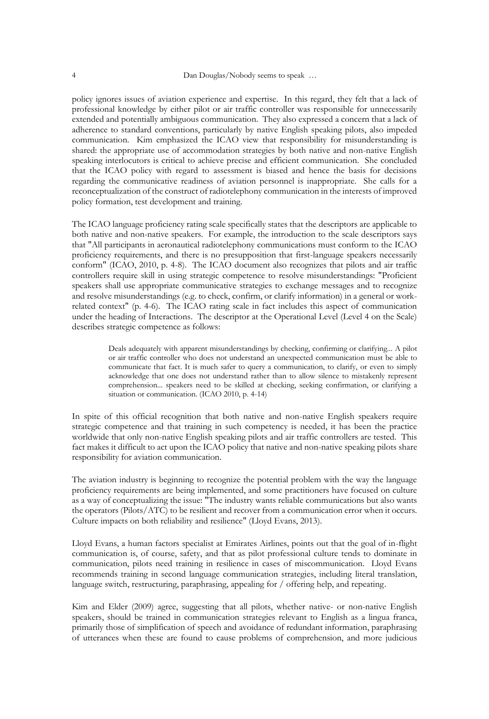policy ignores issues of aviation experience and expertise. In this regard, they felt that a lack of professional knowledge by either pilot or air traffic controller was responsible for unnecessarily extended and potentially ambiguous communication. They also expressed a concern that a lack of adherence to standard conventions, particularly by native English speaking pilots, also impeded communication. Kim emphasized the ICAO view that responsibility for misunderstanding is shared: the appropriate use of accommodation strategies by both native and non-native English speaking interlocutors is critical to achieve precise and efficient communication. She concluded that the ICAO policy with regard to assessment is biased and hence the basis for decisions regarding the communicative readiness of aviation personnel is inappropriate. She calls for a reconceptualization of the construct of radiotelephony communication in the interests of improved policy formation, test development and training.

The ICAO language proficiency rating scale specifically states that the descriptors are applicable to both native and non-native speakers. For example, the introduction to the scale descriptors says that "All participants in aeronautical radiotelephony communications must conform to the ICAO proficiency requirements, and there is no presupposition that first-language speakers necessarily conform" (ICAO, 2010, p. 4-8). The ICAO document also recognizes that pilots and air traffic controllers require skill in using strategic competence to resolve misunderstandings: "Proficient speakers shall use appropriate communicative strategies to exchange messages and to recognize and resolve misunderstandings (e.g. to check, confirm, or clarify information) in a general or workrelated context" (p. 4-6). The ICAO rating scale in fact includes this aspect of communication under the heading of Interactions. The descriptor at the Operational Level (Level 4 on the Scale) describes strategic competence as follows:

> Deals adequately with apparent misunderstandings by checking, confirming or clarifying... A pilot or air traffic controller who does not understand an unexpected communication must be able to communicate that fact. It is much safer to query a communication, to clarify, or even to simply acknowledge that one does not understand rather than to allow silence to mistakenly represent comprehension... speakers need to be skilled at checking, seeking confirmation, or clarifying a situation or communication. (ICAO 2010, p. 4-14)

In spite of this official recognition that both native and non-native English speakers require strategic competence and that training in such competency is needed, it has been the practice worldwide that only non-native English speaking pilots and air traffic controllers are tested. This fact makes it difficult to act upon the ICAO policy that native and non-native speaking pilots share responsibility for aviation communication.

The aviation industry is beginning to recognize the potential problem with the way the language proficiency requirements are being implemented, and some practitioners have focused on culture as a way of conceptualizing the issue: "The industry wants reliable communications but also wants the operators (Pilots/ATC) to be resilient and recover from a communication error when it occurs. Culture impacts on both reliability and resilience" (Lloyd Evans, 2013).

Lloyd Evans, a human factors specialist at Emirates Airlines, points out that the goal of in-flight communication is, of course, safety, and that as pilot professional culture tends to dominate in communication, pilots need training in resilience in cases of miscommunication. Lloyd Evans recommends training in second language communication strategies, including literal translation, language switch, restructuring, paraphrasing, appealing for / offering help, and repeating.

Kim and Elder (2009) agree, suggesting that all pilots, whether native- or non-native English speakers, should be trained in communication strategies relevant to English as a lingua franca, primarily those of simplification of speech and avoidance of redundant information, paraphrasing of utterances when these are found to cause problems of comprehension, and more judicious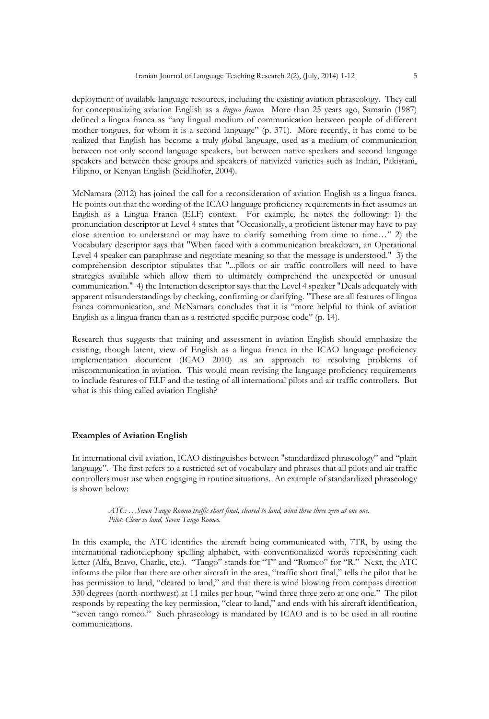deployment of available language resources, including the existing aviation phraseology. They call for conceptualizing aviation English as a *lingua franca*. More than 25 years ago, Samarin (1987) defined a lingua franca as "any lingual medium of communication between people of different mother tongues, for whom it is a second language" (p. 371). More recently, it has come to be realized that English has become a truly global language, used as a medium of communication between not only second language speakers, but between native speakers and second language speakers and between these groups and speakers of nativized varieties such as Indian, Pakistani, Filipino, or Kenyan English (Seidlhofer, 2004).

McNamara (2012) has joined the call for a reconsideration of aviation English as a lingua franca. He points out that the wording of the ICAO language proficiency requirements in fact assumes an English as a Lingua Franca (ELF) context. For example, he notes the following: 1) the pronunciation descriptor at Level 4 states that "Occasionally, a proficient listener may have to pay close attention to understand or may have to clarify something from time to time…" 2) the Vocabulary descriptor says that "When faced with a communication breakdown, an Operational Level 4 speaker can paraphrase and negotiate meaning so that the message is understood." 3) the comprehension descriptor stipulates that "...pilots or air traffic controllers will need to have strategies available which allow them to ultimately comprehend the unexpected or unusual communication." 4) the Interaction descriptor says that the Level 4 speaker "Deals adequately with apparent misunderstandings by checking, confirming or clarifying. "These are all features of lingua franca communication, and McNamara concludes that it is "more helpful to think of aviation English as a lingua franca than as a restricted specific purpose code" (p. 14).

Research thus suggests that training and assessment in aviation English should emphasize the existing, though latent, view of English as a lingua franca in the ICAO language proficiency implementation document (ICAO 2010) as an approach to resolving problems of miscommunication in aviation. This would mean revising the language proficiency requirements to include features of ELF and the testing of all international pilots and air traffic controllers. But what is this thing called aviation English?

#### **Examples of Aviation English**

In international civil aviation, ICAO distinguishes between "standardized phraseology" and "plain language". The first refers to a restricted set of vocabulary and phrases that all pilots and air traffic controllers must use when engaging in routine situations. An example of standardized phraseology is shown below:

> *ATC: …Seven Tango Romeo traffic short final, cleared to land, wind three three zero at one one. Pilot: Clear to land, Seven Tango Romeo.*

In this example, the ATC identifies the aircraft being communicated with, 7TR, by using the international radiotelephony spelling alphabet, with conventionalized words representing each letter (Alfa, Bravo, Charlie, etc.). "Tango" stands for "T" and "Romeo" for "R." Next, the ATC informs the pilot that there are other aircraft in the area, "traffic short final," tells the pilot that he has permission to land, "cleared to land," and that there is wind blowing from compass direction 330 degrees (north-northwest) at 11 miles per hour, "wind three three zero at one one." The pilot responds by repeating the key permission, "clear to land," and ends with his aircraft identification, "seven tango romeo." Such phraseology is mandated by ICAO and is to be used in all routine communications.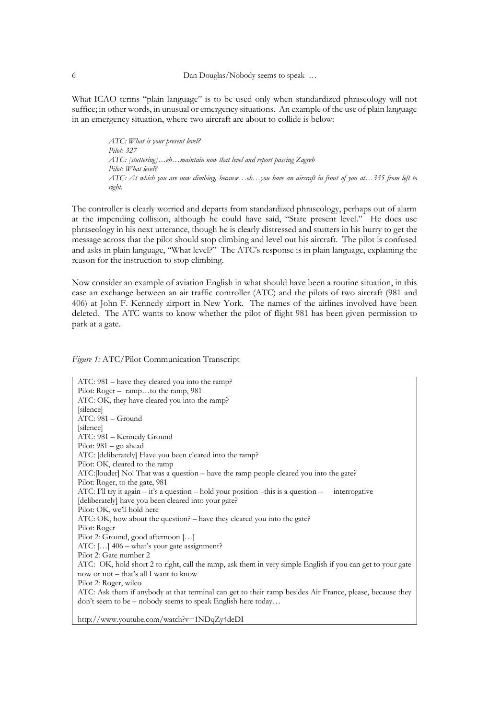What ICAO terms "plain language" is to be used only when standardized phraseology will not suffice; in other words, in unusual or emergency situations. An example of the use of plain language in an emergency situation, where two aircraft are about to collide is below:

> *ATC: What is your present level? Pilot: 327 ATC: [stuttering]…eh…maintain now that level and report passing Zagreb Pilot: What level? ATC: At which you are now climbing, because…eh…you have an aircraft in front of you at…335 from left to right.*

The controller is clearly worried and departs from standardized phraseology, perhaps out of alarm at the impending collision, although he could have said, "State present level." He does use phraseology in his next utterance, though he is clearly distressed and stutters in his hurry to get the message across that the pilot should stop climbing and level out his aircraft. The pilot is confused and asks in plain language, "What level?" The ATC's response is in plain language, explaining the reason for the instruction to stop climbing.

Now consider an example of aviation English in what should have been a routine situation, in this case an exchange between an air traffic controller (ATC) and the pilots of two aircraft (981 and 406) at John F. Kennedy airport in New York. The names of the airlines involved have been deleted. The ATC wants to know whether the pilot of flight 981 has been given permission to park at a gate.

*Figure 1:* ATC/Pilot Communication Transcript

ATC: 981 – have they cleared you into the ramp? Pilot: Roger – ramp...to the ramp, 981 ATC: OK, they have cleared you into the ramp? [silence] ATC: 981 – Ground [silence] ATC: 981 – Kennedy Ground Pilot: 981 – go ahead ATC: [deliberately] Have you been cleared into the ramp? Pilot: OK, cleared to the ramp ATC:[louder] No! That was a question – have the ramp people cleared you into the gate? Pilot: Roger, to the gate, 981 ATC: I'll try it again – it's a question – hold your position – this is a question – interrogative [deliberately] have you been cleared into your gate? Pilot: OK, we'll hold here ATC: OK, how about the question? – have they cleared you into the gate? Pilot: Roger Pilot 2: Ground, good afternoon […] ATC: […] 406 – what's your gate assignment? Pilot 2: Gate number 2 ATC: OK, hold short 2 to right, call the ramp, ask them in very simple English if you can get to your gate now or not – that's all I want to know Pilot 2: Roger, wilco ATC: Ask them if anybody at that terminal can get to their ramp besides Air France, please, because they don't seem to be – nobody seems to speak English here today… http://www.youtube.com/watch?v=1NDqZy4deDI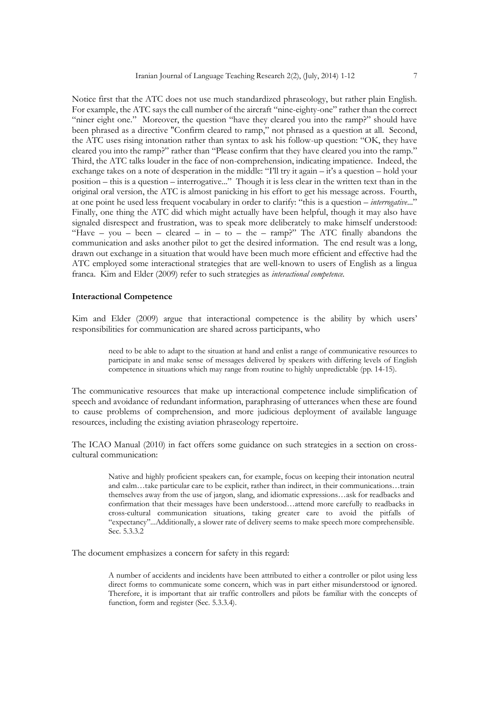Notice first that the ATC does not use much standardized phraseology, but rather plain English. For example, the ATC says the call number of the aircraft "nine-eighty-one" rather than the correct "niner eight one." Moreover, the question "have they cleared you into the ramp?" should have been phrased as a directive "Confirm cleared to ramp," not phrased as a question at all. Second, the ATC uses rising intonation rather than syntax to ask his follow-up question: "OK, they have cleared you into the ramp?" rather than "Please confirm that they have cleared you into the ramp." Third, the ATC talks louder in the face of non-comprehension, indicating impatience. Indeed, the exchange takes on a note of desperation in the middle: "I'll try it again – it's a question – hold your position – this is a question – interrogative..." Though it is less clear in the written text than in the original oral version, the ATC is almost panicking in his effort to get his message across. Fourth, at one point he used less frequent vocabulary in order to clarify: "this is a question – *interrogative*..." Finally, one thing the ATC did which might actually have been helpful, though it may also have signaled disrespect and frustration, was to speak more deliberately to make himself understood: "Have – you – been – cleared – in – to – the – ramp?" The ATC finally abandons the communication and asks another pilot to get the desired information. The end result was a long, drawn out exchange in a situation that would have been much more efficient and effective had the ATC employed some interactional strategies that are well-known to users of English as a lingua franca. Kim and Elder (2009) refer to such strategies as *interactional competence.*

#### **Interactional Competence**

Kim and Elder (2009) argue that interactional competence is the ability by which users' responsibilities for communication are shared across participants, who

> need to be able to adapt to the situation at hand and enlist a range of communicative resources to participate in and make sense of messages delivered by speakers with differing levels of English competence in situations which may range from routine to highly unpredictable (pp. 14-15).

The communicative resources that make up interactional competence include simplification of speech and avoidance of redundant information, paraphrasing of utterances when these are found to cause problems of comprehension, and more judicious deployment of available language resources, including the existing aviation phraseology repertoire.

The ICAO Manual (2010) in fact offers some guidance on such strategies in a section on crosscultural communication:

> Native and highly proficient speakers can, for example, focus on keeping their intonation neutral and calm…take particular care to be explicit, rather than indirect, in their communications…train themselves away from the use of jargon, slang, and idiomatic expressions…ask for readbacks and confirmation that their messages have been understood…attend more carefully to readbacks in cross-cultural communication situations, taking greater care to avoid the pitfalls of "expectancy"...Additionally, a slower rate of delivery seems to make speech more comprehensible. Sec. 5.3.3.2

The document emphasizes a concern for safety in this regard:

A number of accidents and incidents have been attributed to either a controller or pilot using less direct forms to communicate some concern, which was in part either misunderstood or ignored. Therefore, it is important that air traffic controllers and pilots be familiar with the concepts of function, form and register (Sec. 5.3.3.4).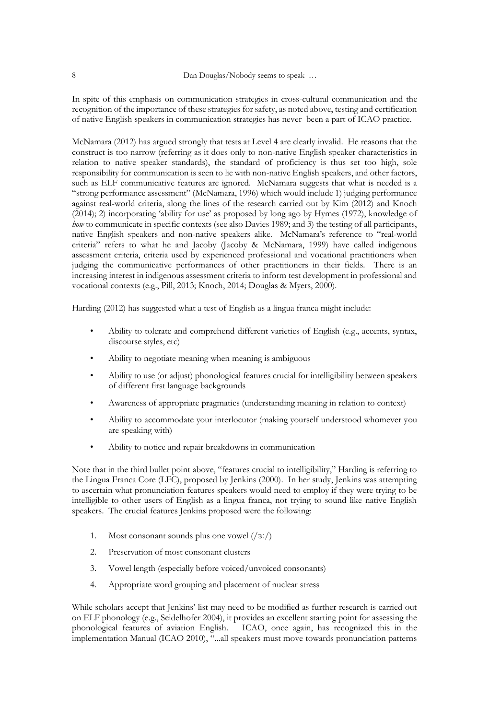In spite of this emphasis on communication strategies in cross-cultural communication and the recognition of the importance of these strategies for safety, as noted above, testing and certification of native English speakers in communication strategies has never been a part of ICAO practice.

McNamara (2012) has argued strongly that tests at Level 4 are clearly invalid. He reasons that the construct is too narrow (referring as it does only to non-native English speaker characteristics in relation to native speaker standards), the standard of proficiency is thus set too high, sole responsibility for communication is seen to lie with non-native English speakers, and other factors, such as ELF communicative features are ignored. McNamara suggests that what is needed is a "strong performance assessment" (McNamara, 1996) which would include 1) judging performance against real-world criteria, along the lines of the research carried out by Kim (2012) and Knoch (2014); 2) incorporating 'ability for use' as proposed by long ago by Hymes (1972), knowledge of *how* to communicate in specific contexts (see also Davies 1989; and 3) the testing of all participants, native English speakers and non-native speakers alike. McNamara's reference to "real-world criteria" refers to what he and Jacoby (Jacoby & McNamara, 1999) have called indigenous assessment criteria, criteria used by experienced professional and vocational practitioners when judging the communicative performances of other practitioners in their fields. There is an increasing interest in indigenous assessment criteria to inform test development in professional and vocational contexts (e.g., Pill, 2013; Knoch, 2014; Douglas & Myers, 2000).

Harding (2012) has suggested what a test of English as a lingua franca might include:

- Ability to tolerate and comprehend different varieties of English (e.g., accents, syntax, discourse styles, etc)
- Ability to negotiate meaning when meaning is ambiguous
- Ability to use (or adjust) phonological features crucial for intelligibility between speakers of different first language backgrounds
- Awareness of appropriate pragmatics (understanding meaning in relation to context)
- Ability to accommodate your interlocutor (making yourself understood whomever you are speaking with)
- Ability to notice and repair breakdowns in communication

Note that in the third bullet point above, "features crucial to intelligibility," Harding is referring to the Lingua Franca Core (LFC), proposed by Jenkins (2000). In her study, Jenkins was attempting to ascertain what pronunciation features speakers would need to employ if they were trying to be intelligible to other users of English as a lingua franca, not trying to sound like native English speakers. The crucial features Jenkins proposed were the following:

- 1. Most consonant sounds plus one vowel (/ɜː/)
- 2. Preservation of most consonant clusters
- 3. Vowel length (especially before voiced/unvoiced consonants)
- 4. Appropriate word grouping and placement of nuclear stress

While scholars accept that Jenkins' list may need to be modified as further research is carried out on ELF phonology (e.g., Seidelhofer 2004), it provides an excellent starting point for assessing the phonological features of aviation English. ICAO, once again, has recognized this in the implementation Manual (ICAO 2010), "...all speakers must move towards pronunciation patterns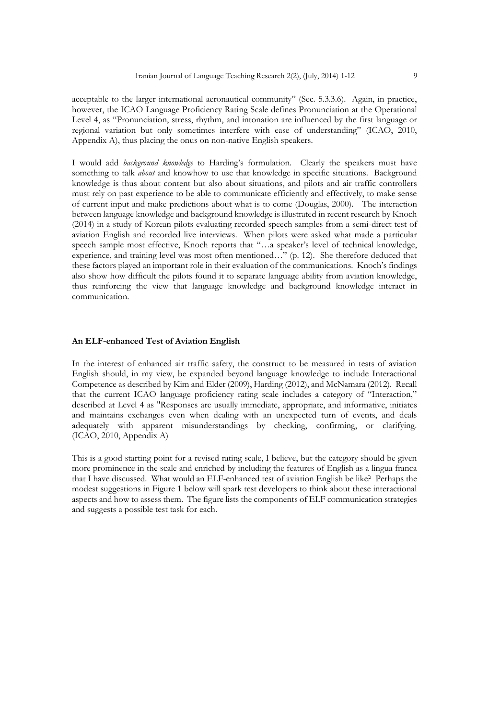acceptable to the larger international aeronautical community" (Sec. 5.3.3.6). Again, in practice, however, the ICAO Language Proficiency Rating Scale defines Pronunciation at the Operational Level 4, as "Pronunciation, stress, rhythm, and intonation are influenced by the first language or regional variation but only sometimes interfere with ease of understanding" (ICAO, 2010, Appendix A), thus placing the onus on non-native English speakers.

I would add *background knowledge* to Harding's formulation. Clearly the speakers must have something to talk *about* and knowhow to use that knowledge in specific situations. Background knowledge is thus about content but also about situations, and pilots and air traffic controllers must rely on past experience to be able to communicate efficiently and effectively, to make sense of current input and make predictions about what is to come (Douglas, 2000). The interaction between language knowledge and background knowledge is illustrated in recent research by Knoch (2014) in a study of Korean pilots evaluating recorded speech samples from a semi-direct test of aviation English and recorded live interviews. When pilots were asked what made a particular speech sample most effective, Knoch reports that "…a speaker's level of technical knowledge, experience, and training level was most often mentioned…" (p. 12). She therefore deduced that these factors played an important role in their evaluation of the communications. Knoch's findings also show how difficult the pilots found it to separate language ability from aviation knowledge, thus reinforcing the view that language knowledge and background knowledge interact in communication.

#### **An ELF-enhanced Test of Aviation English**

In the interest of enhanced air traffic safety, the construct to be measured in tests of aviation English should, in my view, be expanded beyond language knowledge to include Interactional Competence as described by Kim and Elder (2009), Harding (2012), and McNamara (2012). Recall that the current ICAO language proficiency rating scale includes a category of "Interaction," described at Level 4 as "Responses are usually immediate, appropriate, and informative, initiates and maintains exchanges even when dealing with an unexpected turn of events, and deals adequately with apparent misunderstandings by checking, confirming, or clarifying. (ICAO, 2010, Appendix A)

This is a good starting point for a revised rating scale, I believe, but the category should be given more prominence in the scale and enriched by including the features of English as a lingua franca that I have discussed. What would an ELF-enhanced test of aviation English be like? Perhaps the modest suggestions in Figure 1 below will spark test developers to think about these interactional aspects and how to assess them. The figure lists the components of ELF communication strategies and suggests a possible test task for each.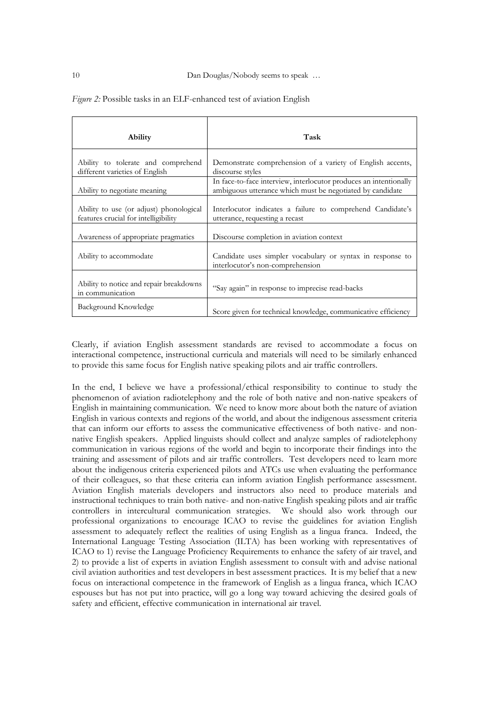| <b>Ability</b>                                                                  | Task                                                                                                                           |
|---------------------------------------------------------------------------------|--------------------------------------------------------------------------------------------------------------------------------|
| Ability to tolerate and comprehend<br>different varieties of English            | Demonstrate comprehension of a variety of English accents,<br>discourse styles                                                 |
| Ability to negotiate meaning                                                    | In face-to-face interview, interlocutor produces an intentionally<br>ambiguous utterance which must be negotiated by candidate |
| Ability to use (or adjust) phonological<br>features crucial for intelligibility | Interlocutor indicates a failure to comprehend Candidate's<br>utterance, requesting a recast                                   |
| Awareness of appropriate pragmatics                                             | Discourse completion in aviation context                                                                                       |
| Ability to accommodate                                                          | Candidate uses simpler vocabulary or syntax in response to<br>interlocutor's non-comprehension                                 |
| Ability to notice and repair breakdowns<br>in communication                     | "Say again" in response to imprecise read-backs                                                                                |
| Background Knowledge                                                            | Score given for technical knowledge, communicative efficiency                                                                  |

*Figure 2:* Possible tasks in an ELF-enhanced test of aviation English

Clearly, if aviation English assessment standards are revised to accommodate a focus on interactional competence, instructional curricula and materials will need to be similarly enhanced to provide this same focus for English native speaking pilots and air traffic controllers.

In the end, I believe we have a professional/ethical responsibility to continue to study the phenomenon of aviation radiotelephony and the role of both native and non-native speakers of English in maintaining communication. We need to know more about both the nature of aviation English in various contexts and regions of the world, and about the indigenous assessment criteria that can inform our efforts to assess the communicative effectiveness of both native- and nonnative English speakers. Applied linguists should collect and analyze samples of radiotelephony communication in various regions of the world and begin to incorporate their findings into the training and assessment of pilots and air traffic controllers. Test developers need to learn more about the indigenous criteria experienced pilots and ATCs use when evaluating the performance of their colleagues, so that these criteria can inform aviation English performance assessment. Aviation English materials developers and instructors also need to produce materials and instructional techniques to train both native- and non-native English speaking pilots and air traffic controllers in intercultural communication strategies. We should also work through our professional organizations to encourage ICAO to revise the guidelines for aviation English assessment to adequately reflect the realities of using English as a lingua franca. Indeed, the International Language Testing Association (ILTA) has been working with representatives of ICAO to 1) revise the Language Proficiency Requirements to enhance the safety of air travel, and 2) to provide a list of experts in aviation English assessment to consult with and advise national civil aviation authorities and test developers in best assessment practices. It is my belief that a new focus on interactional competence in the framework of English as a lingua franca, which ICAO espouses but has not put into practice, will go a long way toward achieving the desired goals of safety and efficient, effective communication in international air travel.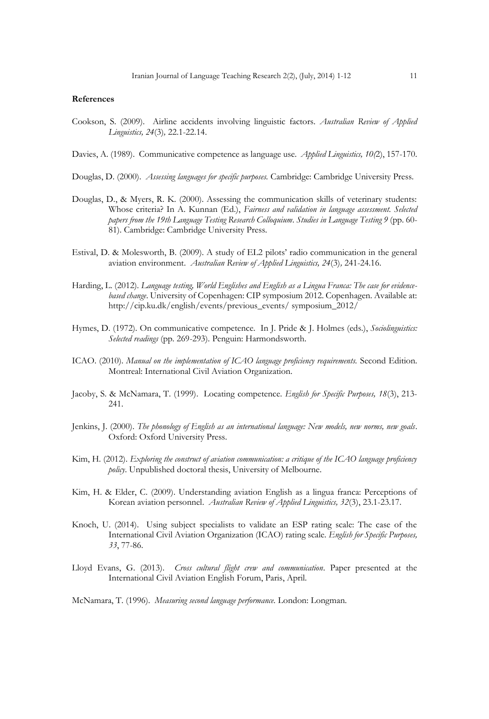#### **References**

- Cookson, S. (2009). Airline accidents involving linguistic factors. *Australian Review of Applied Linguistics, 24*(3)*,* 22.1-22.14.
- Davies, A. (1989). Communicative competence as language use. *Applied Linguistics, 10(*2), 157-170.
- Douglas, D. (2000). *Assessing languages for specific purposes.* Cambridge: Cambridge University Press.
- Douglas, D., & Myers, R. K. (2000). Assessing the communication skills of veterinary students: Whose criteria? In A. Kunnan (Ed.), *Fairness and validation in language assessment. Selected papers from the 19th Language Testing Research Colloquium*. *Studies in Language Testing 9* (pp. 60- 81). Cambridge: Cambridge University Press.
- Estival, D. & Molesworth, B. (2009). A study of EL2 pilots' radio communication in the general aviation environment. *Australian Review of Applied Linguistics, 24*(3)*,* 241-24.16.
- Harding, L. (2012). *Language testing, World Englishes and English as a Lingua Franca: The case for evidencebased change*. University of Copenhagen: CIP symposium 2012. Copenhagen. Available at: http://cip.ku.dk/english/events/previous\_events/ symposium\_2012/
- Hymes, D. (1972). On communicative competence. In J. Pride & J. Holmes (eds.), *Sociolinguistics: Selected readings* (pp. 269-293)*.* Penguin: Harmondsworth.
- ICAO. (2010). *Manual on the implementation of ICAO language proficiency requirements.* Second Edition. Montreal: International Civil Aviation Organization.
- Jacoby, S. & McNamara, T. (1999). Locating competence. *English for Specific Purposes, 18*(3), 213- 241.
- Jenkins, J. (2000). *The phonology of English as an international language: New models, new norms, new goals*. Oxford: Oxford University Press.
- Kim, H. (2012). *Exploring the construct of aviation communication: a critique of the ICAO language proficiency policy*. Unpublished doctoral thesis, University of Melbourne.
- Kim, H. & Elder, C. (2009). Understanding aviation English as a lingua franca: Perceptions of Korean aviation personnel. *Australian Review of Applied Linguistics, 32*(3), 23.1-23.17.
- Knoch, U. (2014). Using subject specialists to validate an ESP rating scale: The case of the International Civil Aviation Organization (ICAO) rating scale. *English for Specific Purposes, 33*, 77-86.
- Lloyd Evans, G. (2013). *Cross cultural flight crew and communication*. Paper presented at the International Civil Aviation English Forum, Paris, April.

McNamara, T. (1996). *Measuring second language performance.* London: Longman.